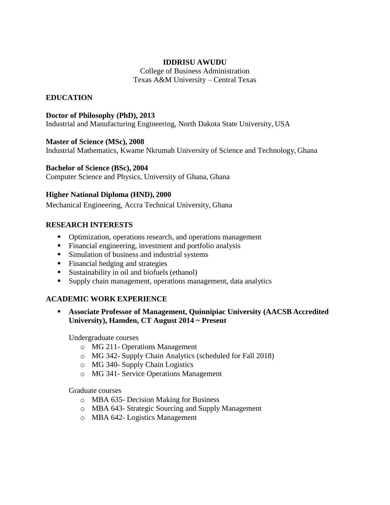### **IDDRISU AWUDU**

College of Business Administration Texas A&M University – Central Texas

# **EDUCATION**

### **Doctor of Philosophy (PhD), 2013**

Industrial and Manufacturing Engineering, North Dakota State University, USA

### **Master of Science (MSc), 2008**

Industrial Mathematics, Kwame Nkrumah University of Science and Technology, Ghana

### **Bachelor of Science (BSc), 2004**

Computer Science and Physics, University of Ghana, Ghana

### **Higher National Diploma (HND), 2000**

Mechanical Engineering, Accra Technical University, Ghana

# **RESEARCH INTERESTS**

- Optimization, operations research, and operations management
- Financial engineering, investment and portfolio analysis
- **Simulation of business and industrial systems**
- Financial hedging and strategies
- Sustainability in oil and biofuels (ethanol)
- Supply chain management, operations management, data analytics

# **ACADEMIC WORK EXPERIENCE**

 **Associate Professor of Management, Quinnipiac University (AACSB Accredited University), Hamden, CT August 2014 ~ Present**

Undergraduate courses

- o MG 211- Operations Management
- o MG 342- Supply Chain Analytics (scheduled for Fall 2018)
- o MG 340- Supply Chain Logistics
- o MG 341- Service Operations Management

Graduate courses

- o MBA 635- Decision Making for Business
- o MBA 643- Strategic Sourcing and Supply Management
- o MBA 642- Logistics Management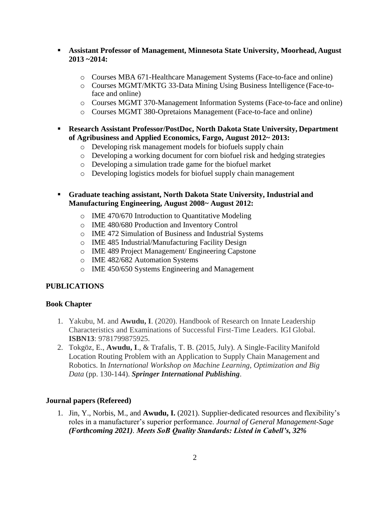- **Assistant Professor of Management, Minnesota State University, Moorhead, August 2013 ~2014:**
	- o Courses MBA 671-Healthcare Management Systems (Face-to-face and online)
	- o Courses MGMT/MKTG 33-Data Mining Using Business Intelligence (Face-toface and online)
	- o Courses MGMT 370-Management Information Systems (Face-to-face and online)
	- o Courses MGMT 380-Opretaions Management (Face-to-face and online)
- **Research Assistant Professor/PostDoc, North Dakota State University, Department of Agribusiness and Applied Economics, Fargo, August 2012~ 2013:**
	- o Developing risk management models for biofuels supply chain
	- o Developing a working document for corn biofuel risk and hedging strategies
	- o Developing a simulation trade game for the biofuel market
	- o Developing logistics models for biofuel supply chain management
- **Graduate teaching assistant, North Dakota State University, Industrial and Manufacturing Engineering, August 2008~ August 2012:**
	- o IME 470/670 Introduction to Quantitative Modeling
	- o IME 480/680 Production and Inventory Control
	- o IME 472 Simulation of Business and Industrial Systems
	- o IME 485 Industrial/Manufacturing Facility Design
	- o IME 489 Project Management/ Engineering Capstone
	- o IME 482/682 Automation Systems
	- o IME 450/650 Systems Engineering and Management

# **PUBLICATIONS**

### **Book Chapter**

- 1. Yakubu, M. and **Awudu, I**. (2020). Handbook of Research on Innate Leadership Characteristics and Examinations of Successful First-Time Leaders. IGI Global. **ISBN13**: 9781799875925.
- 2. Tokgöz, E., **Awudu, I**., & Trafalis, T. B. (2015, July). A Single-FacilityManifold Location Routing Problem with an Application to Supply Chain Management and Robotics. In *International Workshop on Machine Learning, Optimization and Big Data* (pp. 130-144). *Springer International Publishing*.

### **Journal papers (Refereed)**

1. Jin, Y., Norbis, M., and **Awudu, I.** (2021). Supplier-dedicated resources and flexibility's roles in a manufacturer's superior performance. *Journal of General Management-Sage (Forthcoming 2021). Meets SoB Quality Standards: Listed in Cabell's, 32%*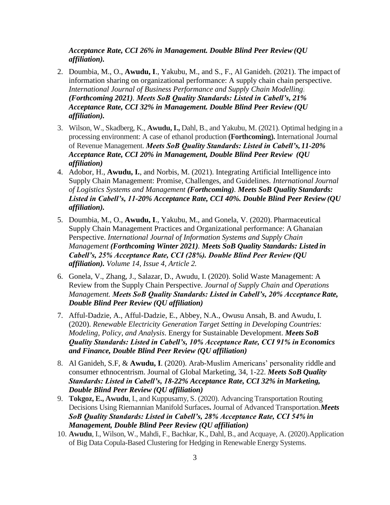*Acceptance Rate, CCI 26% in Management. Double Blind Peer Review (QU affiliation).*

- 2. Doumbia, M., O., **Awudu, I**., Yakubu, M., and S., F., Al Ganideh. (2021). The impact of information sharing on organizational performance: A supply chain chain perspective. *International Journal of Business Performance and Supply Chain Modelling*. *(Forthcoming 2021). Meets SoB Quality Standards: Listed in Cabell's, 21% Acceptance Rate, CCI 32% in Management. Double Blind Peer Review (QU affiliation).*
- 3. Wilson, W., Skadberg, K., **Awudu,I.,** Dahl, B., and Yakubu, M. (2021). Optimal hedging in a processing environment: A case of ethanol production **(Forthcoming).** International Journal of Revenue Management. *Meets SoB Quality Standards: Listed in Cabell's, 11-20% Acceptance Rate, CCI 20% in Management, Double Blind Peer Review (QU affiliation)*
- 4. Adobor, H., **Awudu, I.**, and Norbis, M. (2021). Integrating Artificial Intelligence into Supply Chain Management: Promise, Challenges, and Guidelines. *International Journal of Logistics Systems and Management (Forthcoming). Meets SoB Quality Standards: Listed in Cabell's, 11-20% Acceptance Rate, CCI 40%. Double Blind Peer Review (QU affiliation).*
- 5. Doumbia, M., O., **Awudu, I**., Yakubu, M., and Gonela, V. (2020). Pharmaceutical Supply Chain Management Practices and Organizational performance: A Ghanaian Perspective. *International Journal of Information Systems and Supply Chain Management (Forthcoming Winter 2021). Meets SoB Quality Standards: Listed in Cabell's, 25% Acceptance Rate, CCI (28%). Double Blind Peer Review (QU affiliation). Volume 14, Issue 4, Article 2.*
- 6. Gonela, V., Zhang, J., Salazar, D., Awudu, I. (2020). Solid Waste Management: A Review from the Supply Chain Perspective. *Journal of Supply Chain and Operations Management. Meets SoB Quality Standards: Listed in Cabell's, 20% AcceptanceRate, Double Blind Peer Review (QU affiliation)*
- 7. Afful-Dadzie, A., Afful-Dadzie, E., Abbey, N.A., Owusu Ansah, B. and Awudu, I. (2020). *Renewable Electricity Generation Target Setting in Developing Countries: Modeling, Policy*, *and Analysis*. Energy for Sustainable Development. *Meets SoB Quality Standards: Listed in Cabell's, 10% Acceptance Rate, CCI 91% in Economics and Finance, Double Blind Peer Review (QU affiliation)*
- 8. Al Ganideh, S.F, & **Awudu, I**. (2020). Arab-Muslim Americans' personality riddle and consumer ethnocentrism. Journal of Global Marketing, 34, 1-22. *Meets SoB Quality Standards: Listed in Cabell's, 18-22% Acceptance Rate, CCI 32% in Marketing, Double Blind Peer Review (QU affiliation)*
- 9. **Tokgoz, E., Awudu**, I., and Kuppusamy, S. (2020). Advancing Transportation Routing Decisions Using Riemannian Manifold Surfaces**.** Journal of Advanced Transportation.*Meets SoB Quality Standards: Listed in Cabell's, 28% Acceptance Rate, CCI 54% in Management, Double Blind Peer Review (QU affiliation)*
- 10. **Awudu**, I., Wilson, W., Mahdi, F., Bachkar, K., Dahl, B., and Acquaye, A. (2020).Application of Big Data Copula-Based Clustering for Hedging in Renewable Energy Systems.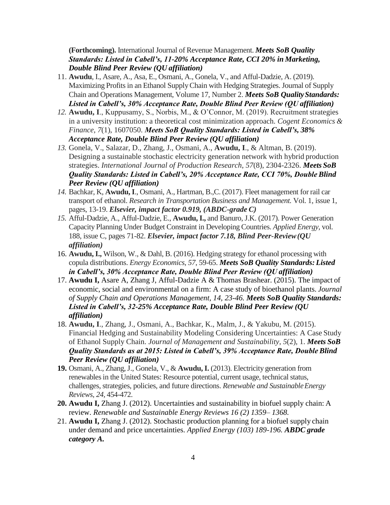**(Forthcoming).** International Journal of Revenue Management. *Meets* SoB Quality *Standards: Listed in Cabell's, 11-20% Acceptance Rate, CCI 20% in Marketing, Double Blind Peer Review (QU affiliation)*

- 11. **Awudu**, I., Asare, A., Asa, E., Osmani, A., Gonela, V., and Afful-Dadzie, A. (2019). Maximizing Profits in an Ethanol Supply Chain with Hedging Strategies. Journal of Supply Chain and Operations Management, Volume 17, Number 2. **Meets SoB Quality Standards:** *Listed in Cabell's, 30% Acceptance Rate, Double Blind Peer Review (QU affiliation)*
- *12.* **Awudu, I**., Kuppusamy, S., Norbis, M., & O'Connor, M. (2019). Recruitment strategies in a university institution: a theoretical cost minimization approach. *Cogent Economics & Finance*, *7*(1), 1607050. *Meets SoB Quality Standards: Listed in Cabell's, 38% Acceptance Rate, Double Blind Peer Review (QU affiliation)*
- *13.* Gonela, V., Salazar, D., Zhang, J., Osmani, A., **Awudu, I**., & Altman, B. (2019). Designing a sustainable stochastic electricity generation network with hybrid production strategies. *International Journal of Production Research*, *57*(8), 2304-2326. *Meets SoB Quality Standards: Listed in Cabell's, 20% Acceptance Rate, CCI 70%, Double Blind Peer Review (QU affiliation)*
- *14.* Bachkar, K, **[Awudu,I](http://www.sciencedirect.com/science/article/pii/S2210539516301195)**., Osmani, A., [Hartman,](http://www.sciencedirect.com/science/article/pii/S2210539516301195) B.,C. (2017). Fleet management for rail car transport of ethanol. *Research in Transportation Business and Management.* Vol. 1, issue 1, pages, 13-19. *Elsevier, impact factor 0.919, (ABDC-grade C)*
- *15.* Afful-Dadzie, A., Afful-Dadzie, E., **Awudu, I.,** and Banuro, J.K. (2017). Power Generation Capacity Planning Under Budget Constraint in Developing Countries. *Applied Energy*, vol. 188, issue C, pages 71-82. *Elsevier, impact factor 7.18, Blind Peer-Review(QU affiliation)*
- 16. **Awudu,I.,** Wilson, W., & Dahl, B. (2016). Hedging strategy for ethanol processing with copula distributions. *Energy Economics*, *57*, 59-65. *Meets SoB Quality Standards: Listed in Cabell's, 30% Acceptance Rate, Double Blind Peer Review (QU affiliation)*
- 17. **Awudu I,** Asare A, Zhang J, Afful-Dadzie A & Thomas Brashear. (2015). The impact of economic, social and environmental on a firm: A case study of bioethanol plants. *Journal of Supply Chain and Operations Management, 14, 23-46. Meets SoB Quality Standards: Listed in Cabell's, 32-25% Acceptance Rate, Double Blind Peer Review (QU affiliation)*
- 18. **Awudu, I**., Zhang, J., Osmani, A., Bachkar, K., Malm, J., & Yakubu, M. (2015). Financial Hedging and Sustainability Modeling Considering Uncertainties: A Case Study of Ethanol Supply Chain. *Journal of Management and Sustainability*, *5*(2), 1. *Meets SoB Quality Standards as at 2015: Listed in Cabell's, 39% Acceptance Rate, Double Blind Peer Review (QU affiliation)*
- **19.** Osmani, A., Zhang,J., Gonela, V., & **Awudu,I.** (2013). Electricity generation from renewables in the United States: Resource potential, current usage, technical status, challenges, strategies, policies, and future directions. *Renewable and Sustainable Energy Reviews*, *24*, 454-472.
- **20. Awudu I,** Zhang J. (2012). Uncertainties and sustainability in biofuel supply chain: A review. *Renewable and Sustainable Energy Reviews 16 (2) 1359– 1368.*
- 21. **Awudu I,** Zhang J. (2012). Stochastic production planning for a biofuel supply chain under demand and price uncertainties. *Applied Energy (103) 189-196. ABDC grade category A.*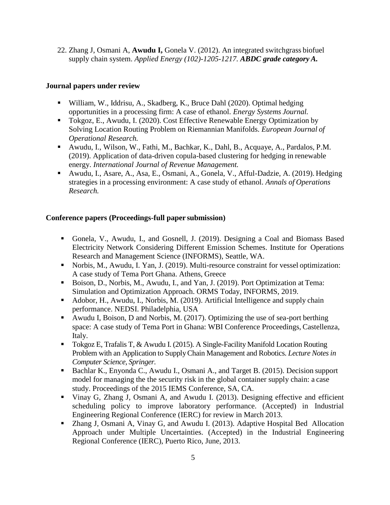22. Zhang J, Osmani A, **Awudu I,** Gonela V. (2012). An integrated switchgrass biofuel supply chain system. *Applied Energy (102)-1205-1217. ABDC grade category A.*

### **Journal papers under review**

- William, W., Iddrisu, A., Skadberg, K., Bruce Dahl (2020). Optimal hedging opportunities in a processing firm: A case of ethanol. *Energy Systems Journal.*
- Tokgoz, E., Awudu, I. (2020). Cost Effective Renewable Energy Optimization by Solving Location Routing Problem on Riemannian Manifolds. *European Journal of Operational Research.*
- Awudu, I., Wilson, W., Fathi, M., Bachkar, K., Dahl, B., Acquaye, A., Pardalos, P.M. (2019). Application of data-driven copula-based clustering for hedging in renewable energy. *International Journal of Revenue Management.*
- Awudu, I., Asare, A., Asa, E., Osmani, A., Gonela, V., Afful-Dadzie, A. (2019). Hedging strategies in a processing environment: A case study of ethanol. *Annals of Operations Research.*

### **Conference papers (Proceedings-full paper submission)**

- Gonela, V., Awudu, I., and Gosnell, J. (2019). Designing a Coal and Biomass Based Electricity Network Considering Different Emission Schemes. Institute for Operations Research and Management Science (INFORMS), Seattle, WA.
- Norbis, M., Awudu, I. Yan, J. (2019). Multi-resource constraint for vessel optimization: A case study of Tema Port Ghana. Athens, Greece
- Boison, D., Norbis, M., Awudu, I., and Yan, J. (2019). Port Optimization at Tema: Simulation and Optimization Approach. ORMS Today, INFORMS, 2019.
- Adobor, H., Awudu, I., Norbis, M. (2019). Artificial Intelligence and supply chain performance. NEDSI. Philadelphia, USA
- Awudu I, Boison, D and Norbis, M.  $(2017)$ . Optimizing the use of sea-port berthing space: A case study of Tema Port in Ghana: WBI Conference Proceedings, Castellenza, Italy.
- Tokgoz E, Trafalis T, & Awudu I. (2015). A Single-Facility Manifold Location Routing Problem with an Application to SupplyChain Management and Robotics. *Lecture Notes in Computer Science, Springer.*
- Bachlar K., Enyonda C., Awudu I., Osmani A., and Target B. (2015). Decision support model for managing the the security risk in the global container supply chain: a case study. Proceedings of the 2015 IEMS Conference, SA, CA.
- Vinay G, Zhang J, Osmani A, and Awudu I. (2013). Designing effective and efficient scheduling policy to improve laboratory performance. (Accepted) in Industrial Engineering Regional Conference (IERC) for review in March 2013.
- Zhang J, Osmani A, Vinay G, and Awudu I. (2013). Adaptive Hospital Bed Allocation Approach under Multiple Uncertainties. (Accepted) in the Industrial Engineering Regional Conference (IERC), Puerto Rico, June, 2013.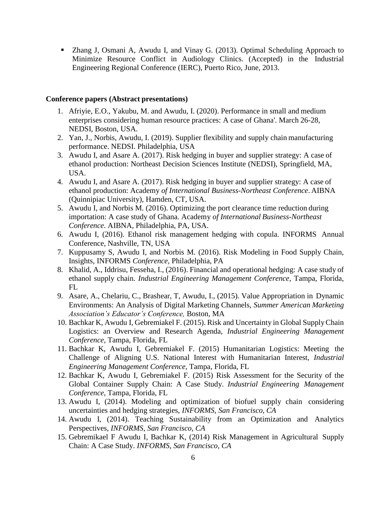■ Zhang J, Osmani A, Awudu I, and Vinay G. (2013). Optimal Scheduling Approach to Minimize Resource Conflict in Audiology Clinics. (Accepted) in the Industrial Engineering Regional Conference (IERC), Puerto Rico, June, 2013.

#### **Conference papers (Abstract presentations)**

- 1. Afriyie, E.O., Yakubu, M. and Awudu, I. (2020). Performance in small and medium enterprises considering human resource practices: A case of Ghana'. March 26-28, NEDSI, Boston, USA.
- 2. Yan, J., Norbis, Awudu, I. (2019). Supplier flexibility and supply chain manufacturing performance. NEDSI. Philadelphia, USA
- 3. Awudu I, and Asare A. (2017). Risk hedging in buyer and supplier strategy: A case of ethanol production: Northeast Decision Sciences Institute (NEDSI), Springfield, MA, USA.
- 4. Awudu I, and Asare A. (2017). Risk hedging in buyer and supplier strategy: A case of ethanol production: Academy *of International Business-Northeast Conference*. AIBNA (Quinnipiac University), Hamden, CT, USA.
- 5. Awudu I, and Norbis M. (2016). Optimizing the port clearance time reduction during importation: A case study of Ghana. Academy *of International Business-Northeast Conference*. AIBNA, Philadelphia, PA, USA.
- 6. Awudu I, (2016). Ethanol risk management hedging with copula. INFORMS Annual Conference, Nashville, TN, USA
- 7. Kuppusamy S, Awudu I, and Norbis M. (2016). Risk Modeling in Food Supply Chain, Insights, INFORMS *Conference,* Philadelphia, PA
- 8. Khalid, A., Iddrisu, Fesseha, I., (2016). Financial and operational hedging: A case study of ethanol supply chain. *Industrial Engineering Management Conference*, Tampa, Florida, FL
- 9. Asare, A., Chelariu, C., Brashear, T, Awudu, I., (2015). Value Appropriation in Dynamic Environments: An Analysis of Digital Marketing Channels, *Summer American Marketing Association's Educator's Conference,* Boston, MA
- 10. Bachkar K, Awudu I, Gebremiakel F. (2015). Risk and Uncertainty in Global SupplyChain Logistics: an Overview and Research Agenda, *Industrial Engineering Management Conference,* Tampa, Florida, FL
- 11. Bachkar K, Awudu I, Gebremiakel F. (2015) Humanitarian Logistics: Meeting the Challenge of Aligning U.S. National Interest with Humanitarian Interest, *Industrial Engineering Management Conference,* Tampa, Florida, FL
- 12. Bachkar K, Awudu I, Gebremiakel F. (2015) Risk Assessment for the Security of the Global Container Supply Chain: A Case Study. *Industrial Engineering Management Conference,* Tampa, Florida, FL
- 13. Awudu I, (2014). Modeling and optimization of biofuel supply chain considering uncertainties and hedging strategies, *INFORMS, San Francisco, CA*
- 14. Awudu I, (2014). Teaching Sustainability from an Optimization and Analytics Perspectives, *INFORMS, San Francisco, CA*
- 15. Gebremikael F Awudu I, Bachkar K, (2014) Risk Management in Agricultural Supply Chain: A Case Study. *INFORMS, San Francisco, CA*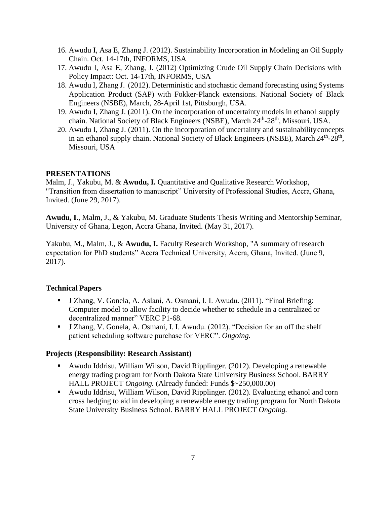- 16. Awudu I, Asa E, Zhang J. (2012). Sustainability Incorporation in Modeling an Oil Supply Chain. Oct. 14-17th, INFORMS, USA
- 17. Awudu I, Asa E, Zhang, J. (2012) Optimizing Crude Oil Supply Chain Decisions with Policy Impact: Oct. 14-17th, INFORMS, USA
- 18. Awudu I, Zhang J. (2012). Deterministic and stochastic demand forecasting using Systems Application Product (SAP) with Fokker-Planck extensions. National Society of Black Engineers (NSBE), March, 28-April 1st, Pittsburgh, USA.
- 19. Awudu I, Zhang J. (2011). On the incorporation of uncertainty models in ethanol supply chain. National Society of Black Engineers (NSBE), March 24<sup>th</sup>-28<sup>th</sup>, Missouri, USA.
- 20. Awudu I, Zhang J. (2011). On the incorporation of uncertainty and sustainabilityconcepts in an ethanol supply chain. National Society of Black Engineers (NSBE), March 24<sup>th</sup>-28<sup>th</sup>, Missouri, USA

### **PRESENTATIONS**

Malm, J., Yakubu, M. & **Awudu, I.** Quantitative and Qualitative Research Workshop, "Transition from dissertation to manuscript" University of Professional Studies, Accra, Ghana, Invited. (June 29, 2017).

**Awudu, I**., Malm, J., & Yakubu, M. Graduate Students Thesis Writing and Mentorship Seminar, University of Ghana, Legon, Accra Ghana, Invited. (May 31, 2017).

Yakubu, M., Malm, J., & Awudu, I. Faculty Research Workshop, "A summary of research expectation for PhD students" Accra Technical University, Accra, Ghana, Invited. (June 9, 2017).

# **Technical Papers**

- J Zhang, V. Gonela, A. Aslani, A. Osmani, I. I. Awudu. (2011). "Final Briefing: Computer model to allow facility to decide whether to schedule in a centralized or decentralized manner" VERC P1-68*.*
- I J Zhang, V. Gonela, A. Osmani, I. I. Awudu. (2012). "Decision for an off the shelf patient scheduling software purchase for VERC". *Ongoing.*

### **Projects (Responsibility: Research Assistant)**

- Awudu Iddrisu, William Wilson, David Ripplinger. (2012). Developing a renewable energy trading program for North Dakota State University Business School. BARRY HALL PROJECT *Ongoing.* (Already funded: Funds \$~250,000.00)
- Awudu Iddrisu, William Wilson, David Ripplinger. (2012). Evaluating ethanol and corn cross hedging to aid in developing a renewable energy trading program for North Dakota State University Business School. BARRY HALL PROJECT *Ongoing.*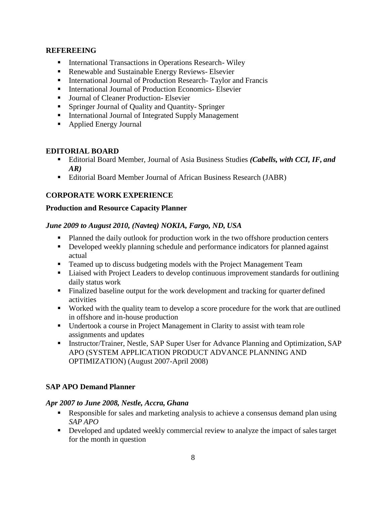### **REFEREEING**

- **International Transactions in Operations Research- Wiley**
- Renewable and Sustainable Energy Reviews- Elsevier
- **International Journal of Production Research- Taylor and Francis**
- International Journal of Production Economics- Elsevier
- Journal of Cleaner Production- Elsevier
- **Springer Journal of Quality and Quantity- Springer**
- **International Journal of Integrated Supply Management**
- Applied Energy Journal

### **EDITORIAL BOARD**

- Editorial Board Member, Journal of Asia Business Studies *(Cabells, with CCI, IF, and AR)*
- Editorial Board Member Journal of African Business Research (JABR)

# **CORPORATE WORK EXPERIENCE**

### **Production and Resource Capacity Planner**

### *June 2009 to August 2010, (Navteq) NOKIA, Fargo, ND, USA*

- **Planned the daily outlook for production work in the two offshore production centers**
- Developed weekly planning schedule and performance indicators for planned against actual
- Teamed up to discuss budgeting models with the Project Management Team
- Liaised with Project Leaders to develop continuous improvement standards for outlining daily status work
- Finalized baseline output for the work development and tracking for quarter defined activities
- Worked with the quality team to develop a score procedure for the work that are outlined in offshore and in-house production
- Undertook a course in Project Management in Clarity to assist with team role assignments and updates
- **Instructor/Trainer, Nestle, SAP Super User for Advance Planning and Optimization, SAP** APO (SYSTEM APPLICATION PRODUCT ADVANCE PLANNING AND OPTIMIZATION) (August 2007-April 2008)

# **SAP APO Demand Planner**

### *Apr 2007 to June 2008, Nestle, Accra, Ghana*

- Responsible for sales and marketing analysis to achieve a consensus demand plan using *SAP APO*
- **•** Developed and updated weekly commercial review to analyze the impact of sales target for the month in question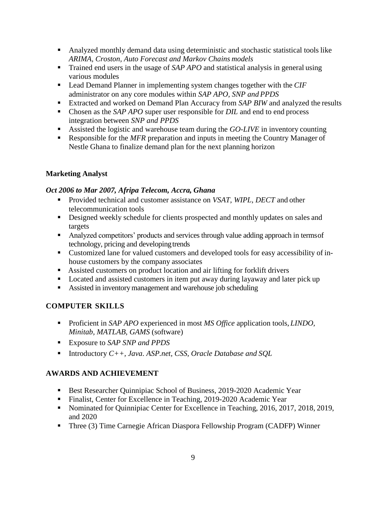- Analyzed monthly demand data using deterministic and stochastic statistical tools like *ARIMA, Croston, Auto Forecast and Markov Chains models*
- Trained end users in the usage of *SAP APO* and statistical analysis in general using various modules
- Lead Demand Planner in implementing system changes together with the *CIF* administrator on any core modules within *SAP APO, SNP and PPDS*
- Extracted and worked on Demand Plan Accuracy from *SAP BIW* and analyzed the results
- Chosen as the *SAP APO* super user responsible for *DIL* and end to end process integration between *SNP and PPDS*
- Assisted the logistic and warehouse team during the *GO-LIVE* in inventory counting
- Responsible for the *MFR* preparation and inputs in meeting the Country Manager of Nestle Ghana to finalize demand plan for the next planning horizon

# **Marketing Analyst**

# *Oct 2006 to Mar 2007, Afripa Telecom, Accra, Ghana*

- Provided technical and customer assistance on *VSAT, WIPL, DECT* and other telecommunication tools
- Designed weekly schedule for clients prospected and monthly updates on sales and targets
- Analyzed competitors' products and services through value adding approach in termsof technology, pricing and developing trends
- Customized lane for valued customers and developed tools for easy accessibility of inhouse customers by the company associates
- Assisted customers on product location and air lifting for forklift drivers
- **Located and assisted customers in item put away during layaway and later pick up**
- Assisted in inventory management and warehouse job scheduling

# **COMPUTER SKILLS**

- Proficient in *SAP APO* experienced in most *MS Office* application tools, *LINDO, Minitab, MATLAB, GAMS* (software)
- Exposure to *SAP SNP and PPDS*
- Introductory  $C++$ , *Java. ASP.net, CSS, Oracle Database and SQL*

# **AWARDS AND ACHIEVEMENT**

- Best Researcher Quinnipiac School of Business, 2019-2020 Academic Year
- Finalist, Center for Excellence in Teaching, 2019-2020 Academic Year
- Nominated for Quinnipiac Center for Excellence in Teaching, 2016, 2017, 2018, 2019, and 2020
- Three (3) Time Carnegie African Diaspora Fellowship Program (CADFP) Winner